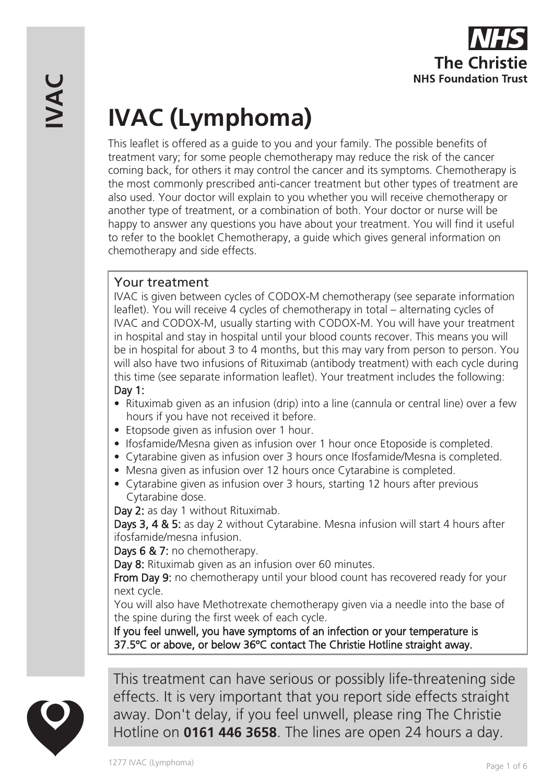# **IVAC (Lymphoma)**

This leaflet is offered as a guide to you and your family. The possible benefits of treatment vary; for some people chemotherapy may reduce the risk of the cancer coming back, for others it may control the cancer and its symptoms. Chemotherapy is the most commonly prescribed anti-cancer treatment but other types of treatment are also used. Your doctor will explain to you whether you will receive chemotherapy or another type of treatment, or a combination of both. Your doctor or nurse will be happy to answer any questions you have about your treatment. You will find it useful to refer to the booklet Chemotherapy, a guide which gives general information on chemotherapy and side effects.

# Your treatment

IVAC is given between cycles of CODOX-M chemotherapy (see separate information leaflet). You will receive 4 cycles of chemotherapy in total – alternating cycles of IVAC and CODOX-M, usually starting with CODOX-M. You will have your treatment in hospital and stay in hospital until your blood counts recover. This means you will be in hospital for about 3 to 4 months, but this may vary from person to person. You will also have two infusions of Rituximab (antibody treatment) with each cycle during this time (see separate information leaflet). Your treatment includes the following: Day 1:

- Rituximab given as an infusion (drip) into a line (cannula or central line) over a few hours if you have not received it before.
- Etopsode given as infusion over 1 hour.
- Ifosfamide/Mesna given as infusion over 1 hour once Etoposide is completed.
- Cytarabine given as infusion over 3 hours once Ifosfamide/Mesna is completed.
- Mesna given as infusion over 12 hours once Cytarabine is completed.
- Cytarabine given as infusion over 3 hours, starting 12 hours after previous Cytarabine dose.

Day 2: as day 1 without Rituximab.

Days 3, 4 & 5: as day 2 without Cytarabine. Mesna infusion will start 4 hours after ifosfamide/mesna infusion.

Days 6 & 7: no chemotherapy.

Day 8: Rituximab given as an infusion over 60 minutes.

From Day 9: no chemotherapy until your blood count has recovered ready for your next cycle.

You will also have Methotrexate chemotherapy given via a needle into the base of the spine during the first week of each cycle.

If you feel unwell, you have symptoms of an infection or your temperature is 37.5ºC or above, or below 36ºC contact The Christie Hotline straight away.



This treatment can have serious or possibly life-threatening side effects. It is very important that you report side effects straight away. Don't delay, if you feel unwell, please ring The Christie Hotline on **0161 446 3658**. The lines are open 24 hours a day.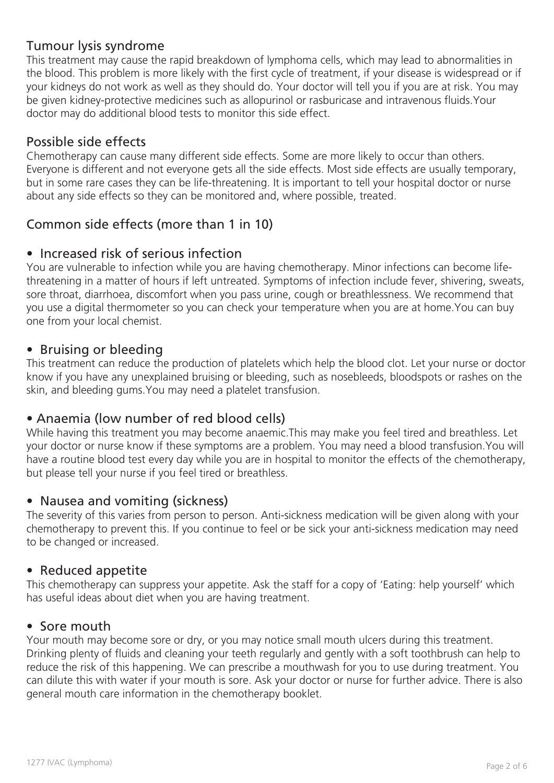# Tumour lysis syndrome

This treatment may cause the rapid breakdown of lymphoma cells, which may lead to abnormalities in the blood. This problem is more likely with the first cycle of treatment, if your disease is widespread or if your kidneys do not work as well as they should do. Your doctor will tell you if you are at risk. You may be given kidney-protective medicines such as allopurinol or rasburicase and intravenous fluids.Your doctor may do additional blood tests to monitor this side effect.

# Possible side effects

Chemotherapy can cause many different side effects. Some are more likely to occur than others. Everyone is different and not everyone gets all the side effects. Most side effects are usually temporary, but in some rare cases they can be life-threatening. It is important to tell your hospital doctor or nurse about any side effects so they can be monitored and, where possible, treated.

# Common side effects (more than 1 in 10)

## • Increased risk of serious infection

You are vulnerable to infection while you are having chemotherapy. Minor infections can become lifethreatening in a matter of hours if left untreated. Symptoms of infection include fever, shivering, sweats, sore throat, diarrhoea, discomfort when you pass urine, cough or breathlessness. We recommend that you use a digital thermometer so you can check your temperature when you are at home.You can buy one from your local chemist.

## • Bruising or bleeding

This treatment can reduce the production of platelets which help the blood clot. Let your nurse or doctor know if you have any unexplained bruising or bleeding, such as nosebleeds, bloodspots or rashes on the skin, and bleeding gums.You may need a platelet transfusion.

## • Anaemia (low number of red blood cells)

While having this treatment you may become anaemic.This may make you feel tired and breathless. Let your doctor or nurse know if these symptoms are a problem. You may need a blood transfusion.You will have a routine blood test every day while you are in hospital to monitor the effects of the chemotherapy, but please tell your nurse if you feel tired or breathless.

## • Nausea and vomiting (sickness)

The severity of this varies from person to person. Anti-sickness medication will be given along with your chemotherapy to prevent this. If you continue to feel or be sick your anti-sickness medication may need to be changed or increased.

#### • Reduced appetite

This chemotherapy can suppress your appetite. Ask the staff for a copy of 'Eating: help yourself' which has useful ideas about diet when you are having treatment.

#### • Sore mouth

Your mouth may become sore or dry, or you may notice small mouth ulcers during this treatment. Drinking plenty of fluids and cleaning your teeth regularly and gently with a soft toothbrush can help to reduce the risk of this happening. We can prescribe a mouthwash for you to use during treatment. You can dilute this with water if your mouth is sore. Ask your doctor or nurse for further advice. There is also general mouth care information in the chemotherapy booklet.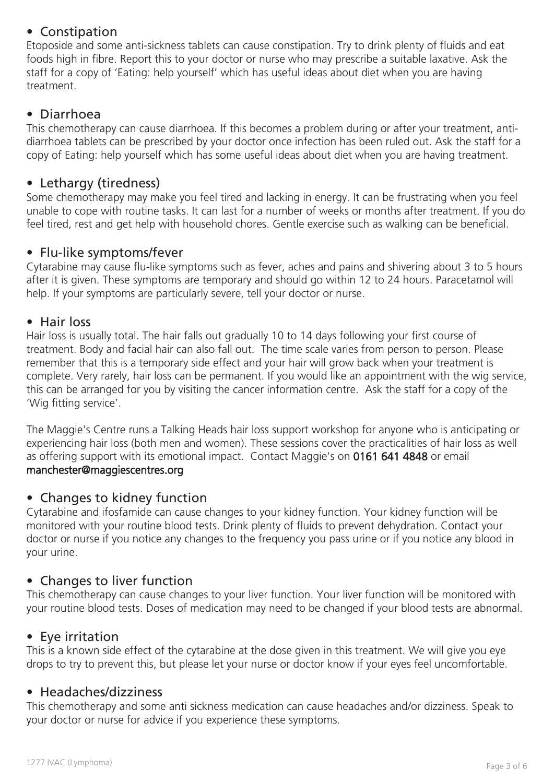# • Constipation

Etoposide and some anti-sickness tablets can cause constipation. Try to drink plenty of fluids and eat foods high in fibre. Report this to your doctor or nurse who may prescribe a suitable laxative. Ask the staff for a copy of 'Eating: help yourself' which has useful ideas about diet when you are having treatment.

# • Diarrhoea

This chemotherapy can cause diarrhoea. If this becomes a problem during or after your treatment, antidiarrhoea tablets can be prescribed by your doctor once infection has been ruled out. Ask the staff for a copy of Eating: help yourself which has some useful ideas about diet when you are having treatment.

## • Lethargy (tiredness)

Some chemotherapy may make you feel tired and lacking in energy. It can be frustrating when you feel unable to cope with routine tasks. It can last for a number of weeks or months after treatment. If you do feel tired, rest and get help with household chores. Gentle exercise such as walking can be beneficial.

## • Flu-like symptoms/fever

Cytarabine may cause flu-like symptoms such as fever, aches and pains and shivering about 3 to 5 hours after it is given. These symptoms are temporary and should go within 12 to 24 hours. Paracetamol will help. If your symptoms are particularly severe, tell your doctor or nurse.

# • Hair loss

Hair loss is usually total. The hair falls out gradually 10 to 14 days following your first course of treatment. Body and facial hair can also fall out. The time scale varies from person to person. Please remember that this is a temporary side effect and your hair will grow back when your treatment is complete. Very rarely, hair loss can be permanent. If you would like an appointment with the wig service, this can be arranged for you by visiting the cancer information centre. Ask the staff for a copy of the 'Wig fitting service'.

The Maggie's Centre runs a Talking Heads hair loss support workshop for anyone who is anticipating or experiencing hair loss (both men and women). These sessions cover the practicalities of hair loss as well as offering support with its emotional impact. Contact Maggie's on 0161 641 4848 or email manchester@maggiescentres.org

## • Changes to kidney function

Cytarabine and ifosfamide can cause changes to your kidney function. Your kidney function will be monitored with your routine blood tests. Drink plenty of fluids to prevent dehydration. Contact your doctor or nurse if you notice any changes to the frequency you pass urine or if you notice any blood in your urine.

# • Changes to liver function

This chemotherapy can cause changes to your liver function. Your liver function will be monitored with your routine blood tests. Doses of medication may need to be changed if your blood tests are abnormal.

## • Eye irritation

This is a known side effect of the cytarabine at the dose given in this treatment. We will give you eye drops to try to prevent this, but please let your nurse or doctor know if your eyes feel uncomfortable.

## • Headaches/dizziness

This chemotherapy and some anti sickness medication can cause headaches and/or dizziness. Speak to your doctor or nurse for advice if you experience these symptoms.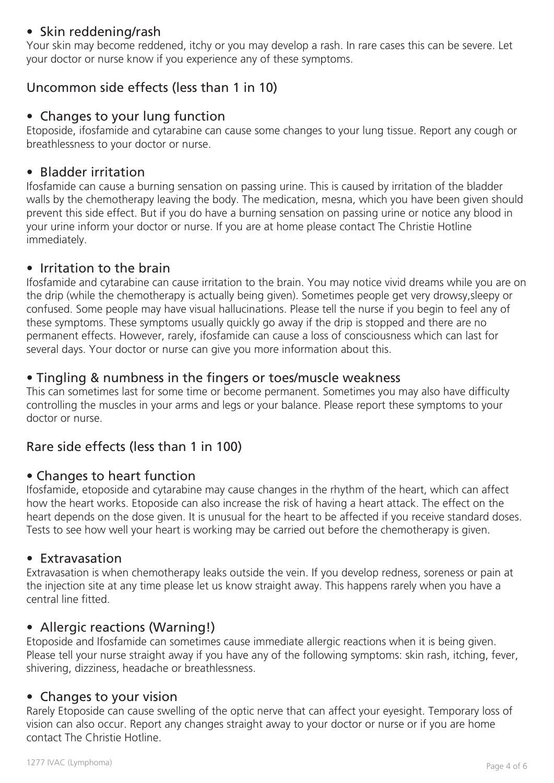# • Skin reddening/rash

Your skin may become reddened, itchy or you may develop a rash. In rare cases this can be severe. Let your doctor or nurse know if you experience any of these symptoms.

# Uncommon side effects (less than 1 in 10)

## • Changes to your lung function

Etoposide, ifosfamide and cytarabine can cause some changes to your lung tissue. Report any cough or breathlessness to your doctor or nurse.

# • Bladder irritation

Ifosfamide can cause a burning sensation on passing urine. This is caused by irritation of the bladder walls by the chemotherapy leaving the body. The medication, mesna, which you have been given should prevent this side effect. But if you do have a burning sensation on passing urine or notice any blood in your urine inform your doctor or nurse. If you are at home please contact The Christie Hotline immediately.

## • Irritation to the brain

Ifosfamide and cytarabine can cause irritation to the brain. You may notice vivid dreams while you are on the drip (while the chemotherapy is actually being given). Sometimes people get very drowsy,sleepy or confused. Some people may have visual hallucinations. Please tell the nurse if you begin to feel any of these symptoms. These symptoms usually quickly go away if the drip is stopped and there are no permanent effects. However, rarely, ifosfamide can cause a loss of consciousness which can last for several days. Your doctor or nurse can give you more information about this.

# • Tingling & numbness in the fingers or toes/muscle weakness

This can sometimes last for some time or become permanent. Sometimes you may also have difficulty controlling the muscles in your arms and legs or your balance. Please report these symptoms to your doctor or nurse.

# Rare side effects (less than 1 in 100)

## • Changes to heart function

Ifosfamide, etoposide and cytarabine may cause changes in the rhythm of the heart, which can affect how the heart works. Etoposide can also increase the risk of having a heart attack. The effect on the heart depends on the dose given. It is unusual for the heart to be affected if you receive standard doses. Tests to see how well your heart is working may be carried out before the chemotherapy is given.

#### • Extravasation

Extravasation is when chemotherapy leaks outside the vein. If you develop redness, soreness or pain at the injection site at any time please let us know straight away. This happens rarely when you have a central line fitted.

## • Allergic reactions (Warning!)

Etoposide and Ifosfamide can sometimes cause immediate allergic reactions when it is being given. Please tell your nurse straight away if you have any of the following symptoms: skin rash, itching, fever, shivering, dizziness, headache or breathlessness.

## • Changes to your vision

Rarely Etoposide can cause swelling of the optic nerve that can affect your eyesight. Temporary loss of vision can also occur. Report any changes straight away to your doctor or nurse or if you are home contact The Christie Hotline.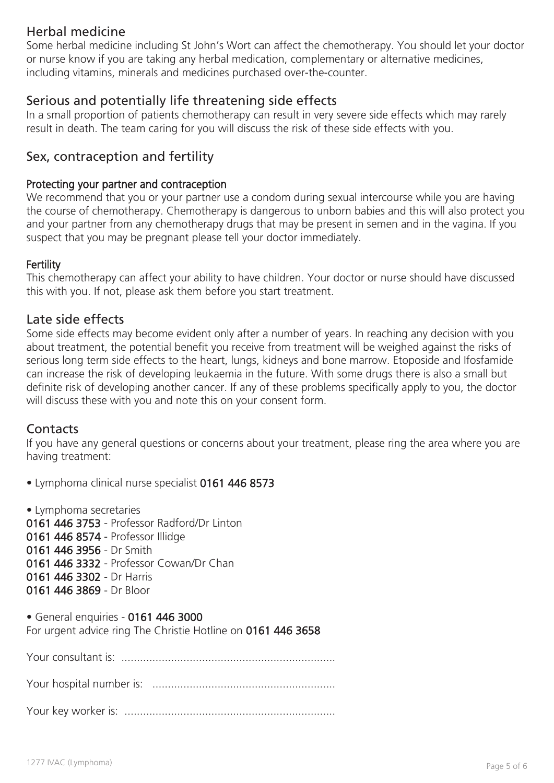# Herbal medicine

Some herbal medicine including St John's Wort can affect the chemotherapy. You should let your doctor or nurse know if you are taking any herbal medication, complementary or alternative medicines, including vitamins, minerals and medicines purchased over-the-counter.

# Serious and potentially life threatening side effects

In a small proportion of patients chemotherapy can result in very severe side effects which may rarely result in death. The team caring for you will discuss the risk of these side effects with you.

# Sex, contraception and fertility

#### Protecting your partner and contraception

We recommend that you or your partner use a condom during sexual intercourse while you are having the course of chemotherapy. Chemotherapy is dangerous to unborn babies and this will also protect you and your partner from any chemotherapy drugs that may be present in semen and in the vagina. If you suspect that you may be pregnant please tell your doctor immediately.

#### **Fertility**

This chemotherapy can affect your ability to have children. Your doctor or nurse should have discussed this with you. If not, please ask them before you start treatment.

#### Late side effects

Some side effects may become evident only after a number of years. In reaching any decision with you about treatment, the potential benefit you receive from treatment will be weighed against the risks of serious long term side effects to the heart, lungs, kidneys and bone marrow. Etoposide and Ifosfamide can increase the risk of developing leukaemia in the future. With some drugs there is also a small but definite risk of developing another cancer. If any of these problems specifically apply to you, the doctor will discuss these with you and note this on your consent form.

## **Contacts**

If you have any general questions or concerns about your treatment, please ring the area where you are having treatment:

• Lymphoma clinical nurse specialist 0161 446 8573

• Lymphoma secretaries 0161 446 3753 - Professor Radford/Dr Linton 0161 446 8574 - Professor Illidge 0161 446 3956 - Dr Smith 0161 446 3332 - Professor Cowan/Dr Chan 0161 446 3302 - Dr Harris 0161 446 3869 - Dr Bloor

• General enquiries - 0161 446 3000 For urgent advice ring The Christie Hotline on 0161 446 3658

Your consultant is: .....................................................................

Your hospital number is: ...........................................................

Your key worker is: ....................................................................